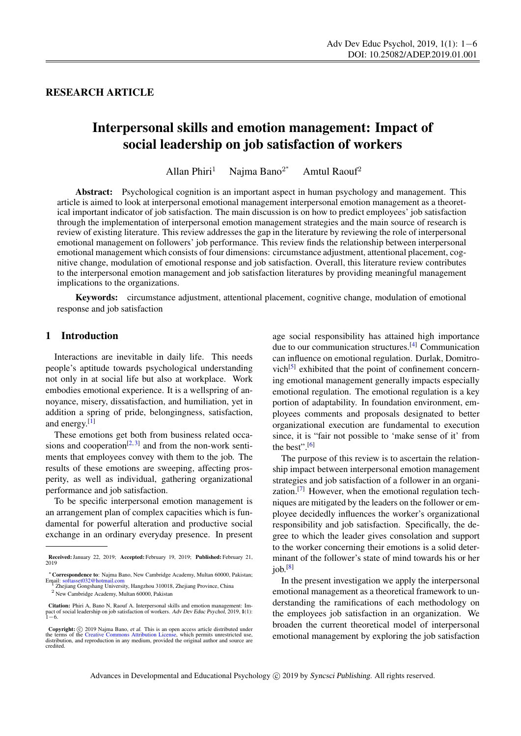RESEARCH ARTICLE

# Interpersonal skills and emotion management: Impact of social leadership on job satisfaction of workers

Allan Phiri<sup>1</sup> Najma Bano<sup>2\*</sup> Amtul Raouf<sup>2</sup>

Abstract: Psychological cognition is an important aspect in human psychology and management. This article is aimed to look at interpersonal emotional management interpersonal emotion management as a theoretical important indicator of job satisfaction. The main discussion is on how to predict employees' job satisfaction through the implementation of interpersonal emotion management strategies and the main source of research is review of existing literature. This review addresses the gap in the literature by reviewing the role of interpersonal emotional management on followers' job performance. This review finds the relationship between interpersonal emotional management which consists of four dimensions: circumstance adjustment, attentional placement, cognitive change, modulation of emotional response and job satisfaction. Overall, this literature review contributes to the interpersonal emotion management and job satisfaction literatures by providing meaningful management implications to the organizations.

Keywords: circumstance adjustment, attentional placement, cognitive change, modulation of emotional response and job satisfaction

#### 1 Introduction

Interactions are inevitable in daily life. This needs people's aptitude towards psychological understanding not only in at social life but also at workplace. Work embodies emotional experience. It is a wellspring of annoyance, misery, dissatisfaction, and humiliation, yet in addition a spring of pride, belongingness, satisfaction, and energy.<sup>[\[1\]](#page-4-0)</sup>

These emotions get both from business related occa-sions and cooperation<sup>[\[2,](#page-4-1) [3\]](#page-4-2)</sup> and from the non-work sentiments that employees convey with them to the job. The results of these emotions are sweeping, affecting prosperity, as well as individual, gathering organizational performance and job satisfaction.

To be specific interpersonal emotion management is an arrangement plan of complex capacities which is fundamental for powerful alteration and productive social exchange in an ordinary everyday presence. In present age social responsibility has attained high importance due to our communication structures.[\[4\]](#page-4-3) Communication can influence on emotional regulation. Durlak, Domitro-vich<sup>[\[5\]](#page-4-4)</sup> exhibited that the point of confinement concerning emotional management generally impacts especially emotional regulation. The emotional regulation is a key portion of adaptability. In foundation environment, employees comments and proposals designated to better organizational execution are fundamental to execution since, it is "fair not possible to 'make sense of it' from the best".[\[6\]](#page-4-5)

The purpose of this review is to ascertain the relationship impact between interpersonal emotion management strategies and job satisfaction of a follower in an organization.[\[7\]](#page-4-6) However, when the emotional regulation techniques are mitigated by the leaders on the follower or employee decidedly influences the worker's organizational responsibility and job satisfaction. Specifically, the degree to which the leader gives consolation and support to the worker concerning their emotions is a solid determinant of the follower's state of mind towards his or her  $\text{job}$ <sup>[\[8\]](#page-4-7)</sup>

In the present investigation we apply the interpersonal emotional management as a theoretical framework to understanding the ramifications of each methodology on the employees job satisfaction in an organization. We broaden the current theoretical model of interpersonal emotional management by exploring the job satisfaction

Received: January 22, 2019; Accepted: February 19, 2019; Published: February 21, 2019

<sup>∗</sup>Correspondence to: Najma Bano, New Cambridge Academy, Multan 60000, Pakistan; Email: <softasset032@hotmail.com><br><sup>1</sup> Zhejiang Gongshang University, Hangzhou 310018, Zhejiang Province, China

<sup>2</sup> New Cambridge Academy, Multan 60000, Pakistan

Citation: Phiri A, Bano N, Raouf A. Interpersonal skills and emotion management: Impact of social leadership on job satisfaction of workers. Adv Dev Educ Psychol, 2019, 1(1):<br>1−6.

Copyright: © 2019 Najma Bano, et al. This is an open access article distributed under terms of the [Creative Commons Attribution License,](https://creativecommons.org/licenses/by/4.0/) which permits unrestricted use, distribution distribution distribution, and reproduct credited.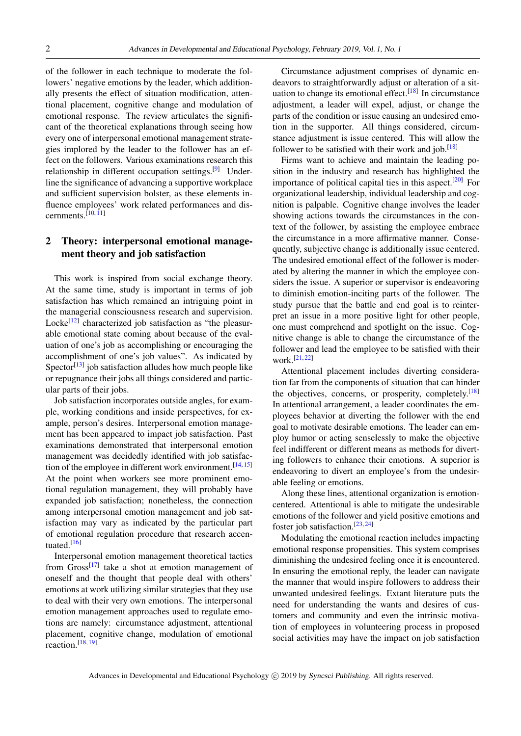of the follower in each technique to moderate the followers' negative emotions by the leader, which additionally presents the effect of situation modification, attentional placement, cognitive change and modulation of emotional response. The review articulates the significant of the theoretical explanations through seeing how every one of interpersonal emotional management strategies implored by the leader to the follower has an effect on the followers. Various examinations research this relationship in different occupation settings.[\[9\]](#page-4-8) Underline the significance of advancing a supportive workplace and sufficient supervision bolster, as these elements influence employees' work related performances and discernments. $[10, 11]$  $[10, 11]$  $[10, 11]$ 

## 2 Theory: interpersonal emotional management theory and job satisfaction

This work is inspired from social exchange theory. At the same time, study is important in terms of job satisfaction has which remained an intriguing point in the managerial consciousness research and supervision. Locke<sup>[\[12\]](#page-4-11)</sup> characterized job satisfaction as "the pleasurable emotional state coming about because of the evaluation of one's job as accomplishing or encouraging the accomplishment of one's job values". As indicated by Spector<sup>[\[13\]](#page-4-12)</sup> job satisfaction alludes how much people like or repugnance their jobs all things considered and particular parts of their jobs.

Job satisfaction incorporates outside angles, for example, working conditions and inside perspectives, for example, person's desires. Interpersonal emotion management has been appeared to impact job satisfaction. Past examinations demonstrated that interpersonal emotion management was decidedly identified with job satisfac-tion of the employee in different work environment.<sup>[\[14,](#page-4-13) [15\]](#page-4-14)</sup> At the point when workers see more prominent emotional regulation management, they will probably have expanded job satisfaction; nonetheless, the connection among interpersonal emotion management and job satisfaction may vary as indicated by the particular part of emotional regulation procedure that research accen-tuated.<sup>[\[16\]](#page-4-15)</sup>

Interpersonal emotion management theoretical tactics from Gross<sup>[\[17\]](#page-4-16)</sup> take a shot at emotion management of oneself and the thought that people deal with others' emotions at work utilizing similar strategies that they use to deal with their very own emotions. The interpersonal emotion management approaches used to regulate emotions are namely: circumstance adjustment, attentional placement, cognitive change, modulation of emotional reaction.  $[18, 19]$  $[18, 19]$  $[18, 19]$ 

Circumstance adjustment comprises of dynamic endeavors to straightforwardly adjust or alteration of a sit-uation to change its emotional effect.<sup>[\[18\]](#page-4-17)</sup> In circumstance adjustment, a leader will expel, adjust, or change the parts of the condition or issue causing an undesired emotion in the supporter. All things considered, circumstance adjustment is issue centered. This will allow the follower to be satisfied with their work and job.<sup>[\[18\]](#page-4-17)</sup>

Firms want to achieve and maintain the leading position in the industry and research has highlighted the importance of political capital ties in this aspect.<sup>[\[20\]](#page-4-19)</sup> For organizational leadership, individual leadership and cognition is palpable. Cognitive change involves the leader showing actions towards the circumstances in the context of the follower, by assisting the employee embrace the circumstance in a more affirmative manner. Consequently, subjective change is additionally issue centered. The undesired emotional effect of the follower is moderated by altering the manner in which the employee considers the issue. A superior or supervisor is endeavoring to diminish emotion-inciting parts of the follower. The study pursue that the battle and end goal is to reinterpret an issue in a more positive light for other people, one must comprehend and spotlight on the issue. Cognitive change is able to change the circumstance of the follower and lead the employee to be satisfied with their work.[\[21,](#page-4-20) [22\]](#page-4-21)

Attentional placement includes diverting consideration far from the components of situation that can hinder the objectives, concerns, or prosperity, completely.<sup>[\[18\]](#page-4-17)</sup> In attentional arrangement, a leader coordinates the employees behavior at diverting the follower with the end goal to motivate desirable emotions. The leader can employ humor or acting senselessly to make the objective feel indifferent or different means as methods for diverting followers to enhance their emotions. A superior is endeavoring to divert an employee's from the undesirable feeling or emotions.

Along these lines, attentional organization is emotioncentered. Attentional is able to mitigate the undesirable emotions of the follower and yield positive emotions and foster job satisfaction.<sup>[\[23,](#page-4-22) [24\]](#page-4-23)</sup>

Modulating the emotional reaction includes impacting emotional response propensities. This system comprises diminishing the undesired feeling once it is encountered. In ensuring the emotional reply, the leader can navigate the manner that would inspire followers to address their unwanted undesired feelings. Extant literature puts the need for understanding the wants and desires of customers and community and even the intrinsic motivation of employees in volunteering process in proposed social activities may have the impact on job satisfaction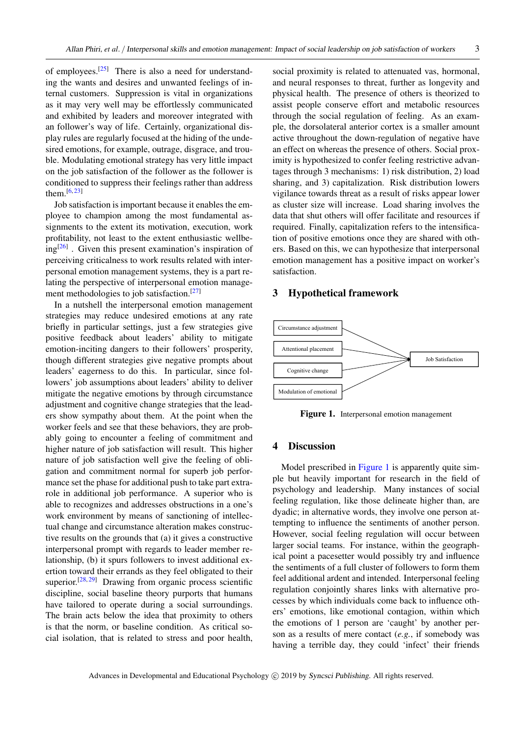of employees.[\[25\]](#page-4-24) There is also a need for understanding the wants and desires and unwanted feelings of internal customers. Suppression is vital in organizations as it may very well may be effortlessly communicated and exhibited by leaders and moreover integrated with an follower's way of life. Certainly, organizational display rules are regularly focused at the hiding of the undesired emotions, for example, outrage, disgrace, and trouble. Modulating emotional strategy has very little impact on the job satisfaction of the follower as the follower is conditioned to suppress their feelings rather than address them.<sup>[\[6,](#page-4-5)[23\]](#page-4-22)</sup>

Job satisfaction is important because it enables the employee to champion among the most fundamental assignments to the extent its motivation, execution, work profitability, not least to the extent enthusiastic wellbeing[\[26\]](#page-4-25) . Given this present examination's inspiration of perceiving criticalness to work results related with interpersonal emotion management systems, they is a part relating the perspective of interpersonal emotion manage-ment methodologies to job satisfaction.<sup>[\[27\]](#page-5-0)</sup>

In a nutshell the interpersonal emotion management strategies may reduce undesired emotions at any rate briefly in particular settings, just a few strategies give positive feedback about leaders' ability to mitigate emotion-inciting dangers to their followers' prosperity, though different strategies give negative prompts about leaders' eagerness to do this. In particular, since followers' job assumptions about leaders' ability to deliver mitigate the negative emotions by through circumstance adjustment and cognitive change strategies that the leaders show sympathy about them. At the point when the worker feels and see that these behaviors, they are probably going to encounter a feeling of commitment and higher nature of job satisfaction will result. This higher nature of job satisfaction well give the feeling of obligation and commitment normal for superb job performance set the phase for additional push to take part extrarole in additional job performance. A superior who is able to recognizes and addresses obstructions in a one's work environment by means of sanctioning of intellectual change and circumstance alteration makes constructive results on the grounds that (a) it gives a constructive interpersonal prompt with regards to leader member relationship, (b) it spurs followers to invest additional exertion toward their errands as they feel obligated to their superior.<sup>[\[28,](#page-5-1) [29\]](#page-5-2)</sup> Drawing from organic process scientific discipline, social baseline theory purports that humans have tailored to operate during a social surroundings. The brain acts below the idea that proximity to others is that the norm, or baseline condition. As critical social isolation, that is related to stress and poor health, social proximity is related to attenuated vas, hormonal, and neural responses to threat, further as longevity and physical health. The presence of others is theorized to assist people conserve effort and metabolic resources through the social regulation of feeling. As an example, the dorsolateral anterior cortex is a smaller amount active throughout the down-regulation of negative have an effect on whereas the presence of others. Social proximity is hypothesized to confer feeling restrictive advantages through 3 mechanisms: 1) risk distribution, 2) load sharing, and 3) capitalization. Risk distribution lowers vigilance towards threat as a result of risks appear lower as cluster size will increase. Load sharing involves the data that shut others will offer facilitate and resources if required. Finally, capitalization refers to the intensification of positive emotions once they are shared with others. Based on this, we can hypothesize that interpersonal emotion management has a positive impact on worker's satisfaction.

#### 3 Hypothetical framework



<span id="page-2-0"></span>Figure 1. Interpersonal emotion management

#### 4 Discussion

Model prescribed in [Figure 1](#page-2-0) is apparently quite simple but heavily important for research in the field of psychology and leadership. Many instances of social feeling regulation, like those delineate higher than, are dyadic; in alternative words, they involve one person attempting to influence the sentiments of another person. However, social feeling regulation will occur between larger social teams. For instance, within the geographical point a pacesetter would possibly try and influence the sentiments of a full cluster of followers to form them feel additional ardent and intended. Interpersonal feeling regulation conjointly shares links with alternative processes by which individuals come back to influence others' emotions, like emotional contagion, within which the emotions of 1 person are 'caught' by another person as a results of mere contact (*e.g.*, if somebody was having a terrible day, they could 'infect' their friends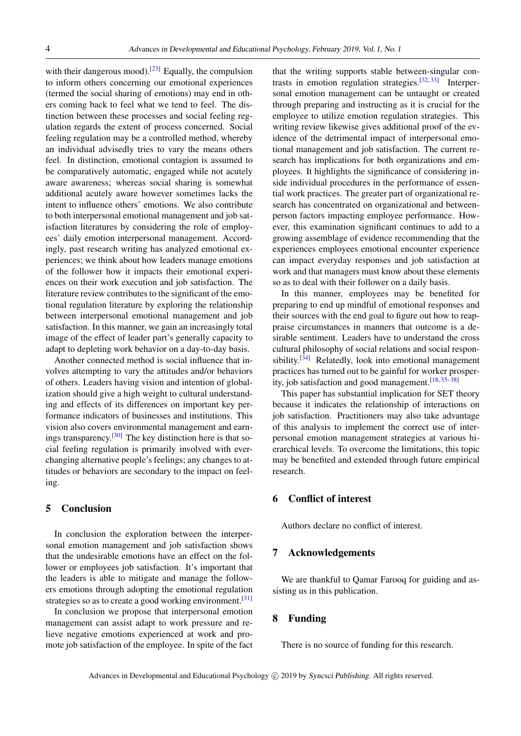with their dangerous mood).<sup>[\[23\]](#page-4-22)</sup> Equally, the compulsion to inform others concerning our emotional experiences (termed the social sharing of emotions) may end in others coming back to feel what we tend to feel. The distinction between these processes and social feeling regulation regards the extent of process concerned. Social feeling regulation may be a controlled method, whereby an individual advisedly tries to vary the means others feel. In distinction, emotional contagion is assumed to be comparatively automatic, engaged while not acutely aware awareness; whereas social sharing is somewhat additional acutely aware however sometimes lacks the intent to influence others' emotions. We also contribute to both interpersonal emotional management and job satisfaction literatures by considering the role of employees' daily emotion interpersonal management. Accordingly, past research writing has analyzed emotional experiences; we think about how leaders manage emotions of the follower how it impacts their emotional experiences on their work execution and job satisfaction. The literature review contributes to the significant of the emotional regulation literature by exploring the relationship between interpersonal emotional management and job satisfaction. In this manner, we gain an increasingly total image of the effect of leader part's generally capacity to adapt to depleting work behavior on a day-to-day basis.

Another connected method is social influence that involves attempting to vary the attitudes and/or behaviors of others. Leaders having vision and intention of globalization should give a high weight to cultural understanding and effects of its differences on important key performance indicators of businesses and institutions. This vision also covers environmental management and earnings transparency.[\[30\]](#page-5-3) The key distinction here is that social feeling regulation is primarily involved with everchanging alternative people's feelings; any changes to attitudes or behaviors are secondary to the impact on feeling.

#### 5 Conclusion

In conclusion the exploration between the interpersonal emotion management and job satisfaction shows that the undesirable emotions have an effect on the follower or employees job satisfaction. It's important that the leaders is able to mitigate and manage the followers emotions through adopting the emotional regulation strategies so as to create a good working environment.<sup>[\[31\]](#page-5-4)</sup>

In conclusion we propose that interpersonal emotion management can assist adapt to work pressure and relieve negative emotions experienced at work and promote job satisfaction of the employee. In spite of the fact that the writing supports stable between-singular con-trasts in emotion regulation strategies.<sup>[\[32,](#page-5-5) [33\]](#page-5-6)</sup> Interpersonal emotion management can be untaught or created through preparing and instructing as it is crucial for the employee to utilize emotion regulation strategies. This writing review likewise gives additional proof of the evidence of the detrimental impact of interpersonal emotional management and job satisfaction. The current research has implications for both organizations and employees. It highlights the significance of considering inside individual procedures in the performance of essential work practices. The greater part of organizational research has concentrated on organizational and betweenperson factors impacting employee performance. However, this examination significant continues to add to a growing assemblage of evidence recommending that the experiences employees emotional encounter experience can impact everyday responses and job satisfaction at work and that managers must know about these elements so as to deal with their follower on a daily basis.

In this manner, employees may be benefited for preparing to end up mindful of emotional responses and their sources with the end goal to figure out how to reappraise circumstances in manners that outcome is a desirable sentiment. Leaders have to understand the cross cultural philosophy of social relations and social respon-sibility.<sup>[\[34\]](#page-5-7)</sup> Relatedly, look into emotional management practices has turned out to be gainful for worker prosperity, job satisfaction and good management.  $[18, 35-38]$  $[18, 35-38]$  $[18, 35-38]$  $[18, 35-38]$ 

This paper has substantial implication for SET theory because it indicates the relationship of interactions on job satisfaction. Practitioners may also take advantage of this analysis to implement the correct use of interpersonal emotion management strategies at various hierarchical levels. To overcome the limitations, this topic may be benefited and extended through future empirical research.

#### 6 Conflict of interest

Authors declare no conflict of interest.

### 7 Acknowledgements

We are thankful to Qamar Farooq for guiding and assisting us in this publication.

#### 8 Funding

There is no source of funding for this research.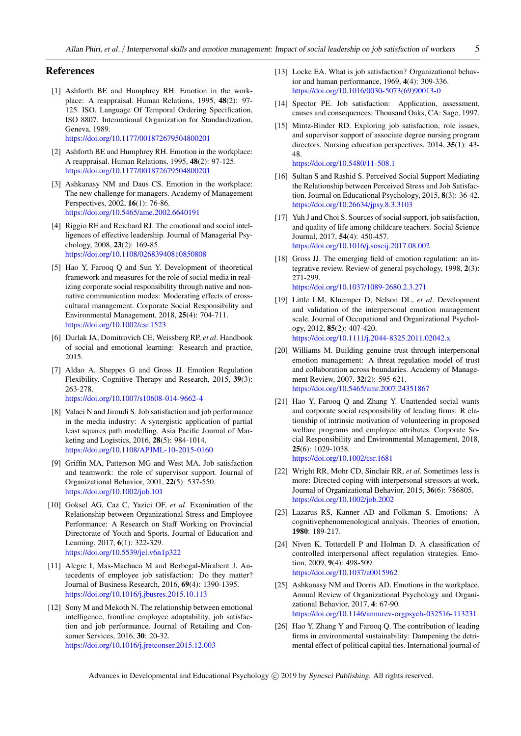#### References

<span id="page-4-0"></span>[1] Ashforth BE and Humphrey RH. Emotion in the workplace: A reappraisal. Human Relations, 1995, 48(2): 97- 125. ISO. Language Of Temporal Ordering Specification, ISO 8807, International Organization for Standardization, Geneva, 1989.

<https://doi.org/10.1177/001872679504800201>

- <span id="page-4-1"></span>[2] Ashforth BE and Humphrey RH. Emotion in the workplace: A reappraisal. Human Relations, 1995, 48(2): 97-125. <https://doi.org/10.1177/001872679504800201>
- <span id="page-4-2"></span>[3] Ashkanasy NM and Daus CS. Emotion in the workplace: The new challenge for managers. Academy of Management Perspectives, 2002, 16(1): 76-86. <https://doi.org/10.5465/ame.2002.6640191>
- <span id="page-4-3"></span>[4] Riggio RE and Reichard RJ. The emotional and social intelligences of effective leadership. Journal of Managerial Psychology, 2008, 23(2): 169-85. <https://doi.org/10.1108/02683940810850808>
- <span id="page-4-4"></span>[5] Hao Y, Farooq Q and Sun Y. Development of theoretical framework and measures for the role of social media in realizing corporate social responsibility through native and nonnative communication modes: Moderating effects of crosscultural management. Corporate Social Responsibility and Environmental Management, 2018, 25(4): 704-711. <https://doi.org/10.1002/csr.1523>
- <span id="page-4-5"></span>[6] Durlak JA, Domitrovich CE, Weissberg RP, *et al*. Handbook of social and emotional learning: Research and practice, 2015.
- <span id="page-4-6"></span>[7] Aldao A, Sheppes G and Gross JJ. Emotion Regulation Flexibility. Cognitive Therapy and Research, 2015, 39(3): 263-278. <https://doi.org/10.1007/s10608-014-9662-4>
- <span id="page-4-7"></span>[8] Valaei N and Jiroudi S. Job satisfaction and job performance in the media industry: A synergistic application of partial least squares path modelling. Asia Pacific Journal of Marketing and Logistics, 2016, 28(5): 984-1014.
- <https://doi.org/10.1108/APJML-10-2015-0160>
- <span id="page-4-8"></span>[9] Griffin MA, Patterson MG and West MA. Job satisfaction and teamwork: the role of supervisor support. Journal of Organizational Behavior, 2001, 22(5): 537-550. <https://doi.org/10.1002/job.101>
- <span id="page-4-9"></span>[10] Goksel AG, Caz C, Yazici OF, *et al*. Examination of the Relationship between Organizational Stress and Employee Performance: A Research on Staff Working on Provincial Directorate of Youth and Sports. Journal of Education and Learning, 2017, 6(1): 322-329. <https://doi.org/10.5539/jel.v6n1p322>
- <span id="page-4-10"></span>[11] Alegre I, Mas-Machuca M and Berbegal-Mirabent J. Antecedents of employee job satisfaction: Do they matter? Journal of Business Research, 2016, 69(4): 1390-1395. <https://doi.org/10.1016/j.jbusres.2015.10.113>
- <span id="page-4-11"></span>[12] Sony M and Mekoth N. The relationship between emotional intelligence, frontline employee adaptability, job satisfaction and job performance. Journal of Retailing and Consumer Services, 2016, 30: 20-32. <https://doi.org/10.1016/j.jretconser.2015.12.003>
- <span id="page-4-12"></span>[13] Locke EA. What is job satisfaction? Organizational behavior and human performance, 1969, 4(4): 309-336. [https://doi.org/10.1016/0030-5073\(69\)90013-0](https://doi.org/10.1016/0030-5073(69)90013-0)
- <span id="page-4-13"></span>[14] Spector PE. Job satisfaction: Application, assessment, causes and consequences: Thousand Oaks, CA: Sage, 1997.
- <span id="page-4-14"></span>[15] Mintz-Binder RD. Exploring job satisfaction, role issues, and supervisor support of associate degree nursing program directors. Nursing education perspectives, 2014, 35(1): 43- 48. <https://doi.org/10.5480/11-508.1>
- <span id="page-4-15"></span>[16] Sultan S and Rashid S. Perceived Social Support Mediating the Relationship between Perceived Stress and Job Satisfaction. Journal on Educational Psychology, 2015, 8(3): 36-42. <https://doi.org/10.26634/jpsy.8.3.3103>
- <span id="page-4-16"></span>[17] Yuh J and Choi S. Sources of social support, job satisfaction, and quality of life among childcare teachers. Social Science Journal, 2017, 54(4): 450-457. <https://doi.org/10.1016/j.soscij.2017.08.002>
- <span id="page-4-17"></span>[18] Gross JJ. The emerging field of emotion regulation: an integrative review. Review of general psychology, 1998, 2(3): 271-299. <https://doi.org/10.1037/1089-2680.2.3.271>
- <span id="page-4-18"></span>[19] Little LM, Kluemper D, Nelson DL, *et al*. Development and validation of the interpersonal emotion management scale. Journal of Occupational and Organizational Psychology, 2012, 85(2): 407-420. <https://doi.org/10.1111/j.2044-8325.2011.02042.x>
- <span id="page-4-19"></span>[20] Williams M. Building genuine trust through interpersonal emotion management: A threat regulation model of trust and collaboration across boundaries. Academy of Management Review, 2007, 32(2): 595-621. <https://doi.org/10.5465/amr.2007.24351867>
- <span id="page-4-20"></span>[21] Hao Y, Farooq Q and Zhang Y. Unattended social wants and corporate social responsibility of leading firms: R elationship of intrinsic motivation of volunteering in proposed welfare programs and employee attributes. Corporate Social Responsibility and Environmental Management, 2018, 25(6): 1029-1038. <https://doi.org/10.1002/csr.1681>
- <span id="page-4-21"></span>[22] Wright RR, Mohr CD, Sinclair RR, *et al*. Sometimes less is more: Directed coping with interpersonal stressors at work. Journal of Organizational Behavior, 2015, 36(6): 786805. <https://doi.org/10.1002/job.2002>
- <span id="page-4-22"></span>[23] Lazarus RS, Kanner AD and Folkman S. Emotions: A cognitivephenomenological analysis. Theories of emotion, 1980: 189-217.
- <span id="page-4-23"></span>[24] Niven K, Totterdell P and Holman D. A classification of controlled interpersonal affect regulation strategies. Emotion, 2009, 9(4): 498-509. <https://doi.org/10.1037/a0015962>
- <span id="page-4-24"></span>[25] Ashkanasy NM and Dorris AD. Emotions in the workplace. Annual Review of Organizational Psychology and Organizational Behavior, 2017, 4: 67-90. <https://doi.org/10.1146/annurev-orgpsych-032516-113231>
- <span id="page-4-25"></span>[26] Hao Y, Zhang Y and Farooq Q. The contribution of leading firms in environmental sustainability: Dampening the detrimental effect of political capital ties. International journal of

Advances in Developmental and Educational Psychology (C) 2019 by Syncsci Publishing. All rights reserved.